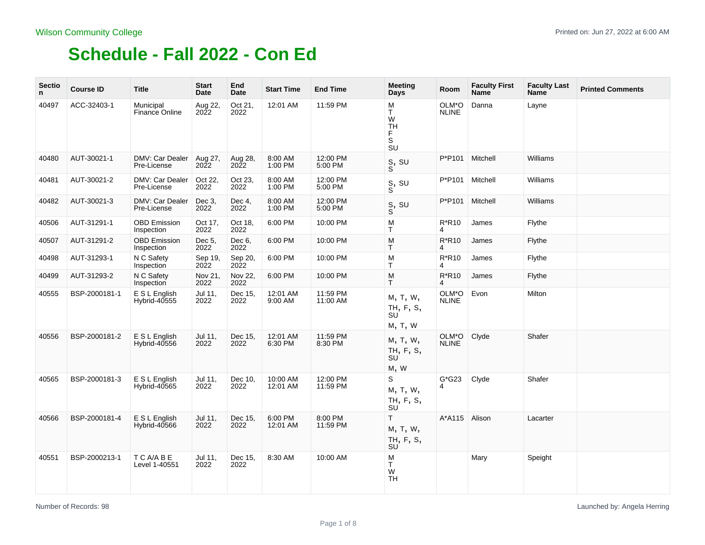| <b>Sectio</b><br>n | <b>Course ID</b> | <b>Title</b>                       | <b>Start</b><br>Date | End<br>Date     | <b>Start Time</b>    | <b>End Time</b>      | <b>Meeting</b><br>Days                 | Room                      | <b>Faculty First</b><br><b>Name</b> | <b>Faculty Last</b><br>Name | <b>Printed Comments</b> |
|--------------------|------------------|------------------------------------|----------------------|-----------------|----------------------|----------------------|----------------------------------------|---------------------------|-------------------------------------|-----------------------------|-------------------------|
| 40497              | ACC-32403-1      | Municipal<br><b>Finance Online</b> | Aug 22,<br>2022      | Oct 21,<br>2022 | 12:01 AM             | 11:59 PM             | M<br>T.<br>W<br>TH<br>F<br>S<br>SU     | OLM*O<br><b>NLINE</b>     | Danna                               | Layne                       |                         |
| 40480              | AUT-30021-1      | DMV: Car Dealer<br>Pre-License     | Aug 27,<br>2022      | Aug 28,<br>2022 | 8:00 AM<br>1:00 PM   | 12:00 PM<br>5:00 PM  | $_{\rm S}^{\rm S}$ su                  | P*P101                    | Mitchell                            | Williams                    |                         |
| 40481              | AUT-30021-2      | DMV: Car Dealer<br>Pre-License     | Oct 22,<br>2022      | Oct 23,<br>2022 | 8:00 AM<br>1:00 PM   | 12:00 PM<br>5:00 PM  | $_{\rm S}^{\rm S, \ SU}$               | P*P101                    | Mitchell                            | Williams                    |                         |
| 40482              | AUT-30021-3      | DMV: Car Dealer<br>Pre-License     | Dec 3,<br>2022       | Dec 4,<br>2022  | 8:00 AM<br>1:00 PM   | 12:00 PM<br>5:00 PM  | S, SU<br>S                             | P*P101                    | Mitchell                            | Williams                    |                         |
| 40506              | AUT-31291-1      | <b>OBD Emission</b><br>Inspection  | Oct 17,<br>2022      | Oct 18,<br>2022 | 6:00 PM              | 10:00 PM             | M<br>Τ                                 | $R*R10$<br>4              | James                               | Flythe                      |                         |
| 40507              | AUT-31291-2      | <b>OBD Emission</b><br>Inspection  | Dec 5,<br>2022       | Dec 6,<br>2022  | 6:00 PM              | 10:00 PM             | M<br>T                                 | $R*R10$<br>4              | James                               | Flythe                      |                         |
| 40498              | AUT-31293-1      | N C Safety<br>Inspection           | Sep 19,<br>2022      | Sep 20,<br>2022 | 6:00 PM              | 10:00 PM             | M<br>T.                                | $R*R10$<br>$\overline{4}$ | James                               | Flythe                      |                         |
| 40499              | AUT-31293-2      | N C Safety<br>Inspection           | Nov 21,<br>2022      | Nov 22,<br>2022 | 6:00 PM              | 10:00 PM             | M<br>T.                                | R*R10<br>4                | James                               | Flythe                      |                         |
| 40555              | BSP-2000181-1    | E S L English<br>Hybrid-40555      | Jul 11,<br>2022      | Dec 15,<br>2022 | 12:01 AM<br>9:00 AM  | 11:59 PM<br>11:00 AM | M, T, W,<br>TH, F, S,<br>SU<br>M, T, W | OLM*O<br><b>NLINE</b>     | Evon                                | Milton                      |                         |
| 40556              | BSP-2000181-2    | E S L English<br>Hybrid-40556      | Jul 11,<br>2022      | Dec 15,<br>2022 | 12:01 AM<br>6:30 PM  | 11:59 PM<br>8:30 PM  | M, T, W,<br>TH, F, S,<br>SU<br>M, W    | OLM*O<br><b>NLINE</b>     | Clyde                               | Shafer                      |                         |
| 40565              | BSP-2000181-3    | E S L English<br>Hybrid-40565      | Jul 11,<br>2022      | Dec 10,<br>2022 | 10:00 AM<br>12:01 AM | 12:00 PM<br>11:59 PM | S<br>M, T, W,<br>TH, F, S,<br>SU       | $G*G23$<br>4              | Clyde                               | Shafer                      |                         |
| 40566              | BSP-2000181-4    | E S L English<br>Hybrid-40566      | Jul 11,<br>2022      | Dec 15,<br>2022 | 6:00 PM<br>12:01 AM  | 8:00 PM<br>11:59 PM  | T.<br>M, T, W,<br>TH, F, S,<br>SU      | A*A115 Alison             |                                     | Lacarter                    |                         |
| 40551              | BSP-2000213-1    | T C A/A B E<br>Level 1-40551       | Jul 11,<br>2022      | Dec 15,<br>2022 | 8:30 AM              | 10:00 AM             | M<br>T.<br>W<br><b>TH</b>              |                           | Mary                                | Speight                     |                         |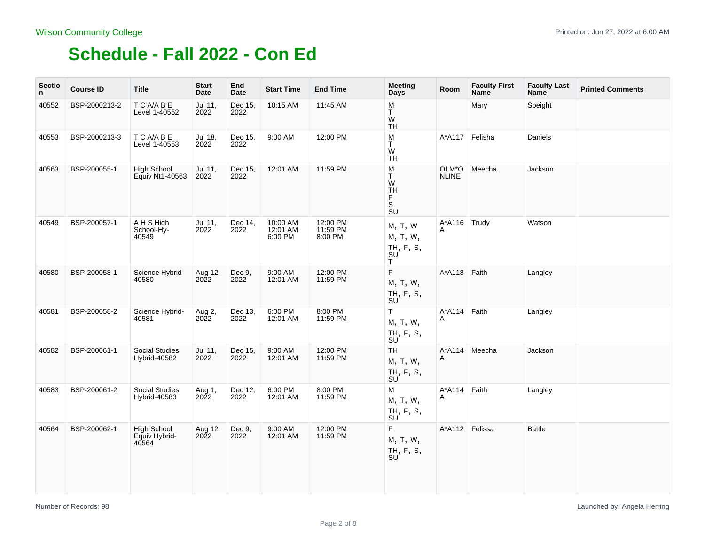| <b>Sectio</b><br>n. | <b>Course ID</b> | <b>Title</b>                                 | <b>Start</b><br>Date | End<br><b>Date</b> | <b>Start Time</b>               | <b>End Time</b>                 | <b>Meeting</b><br>Days                                | Room                  | <b>Faculty First</b><br><b>Name</b> | <b>Faculty Last</b><br>Name | <b>Printed Comments</b> |
|---------------------|------------------|----------------------------------------------|----------------------|--------------------|---------------------------------|---------------------------------|-------------------------------------------------------|-----------------------|-------------------------------------|-----------------------------|-------------------------|
| 40552               | BSP-2000213-2    | T C A/A B E<br>Level 1-40552                 | Jul 11,<br>2022      | Dec 15,<br>2022    | 10:15 AM                        | 11:45 AM                        | М<br>T.<br>W<br><b>TH</b>                             |                       | Mary                                | Speight                     |                         |
| 40553               | BSP-2000213-3    | T C A/A B E<br>Level 1-40553                 | Jul 18,<br>2022      | Dec 15,<br>2022    | 9:00 AM                         | 12:00 PM                        | М<br>T.<br>W<br><b>TH</b>                             | $A^*A117$             | Felisha                             | Daniels                     |                         |
| 40563               | BSP-200055-1     | <b>High School</b><br>Equiv Nt1-40563        | Jul 11,<br>2022      | Dec 15,<br>2022    | 12:01 AM                        | 11:59 PM                        | М<br>T.<br>W<br><b>TH</b><br>F.<br>S<br><b>SU</b>     | OLM*O<br><b>NLINE</b> | Meecha                              | Jackson                     |                         |
| 40549               | BSP-200057-1     | A H S High<br>School-Hy-<br>40549            | Jul 11,<br>2022      | Dec 14,<br>2022    | 10:00 AM<br>12:01 AM<br>6:00 PM | 12:00 PM<br>11:59 PM<br>8:00 PM | M, T, W<br>м, т, w,<br>TH, F, S,<br>SU<br>T           | A*A116 Trudy<br>A     |                                     | Watson                      |                         |
| 40580               | BSP-200058-1     | Science Hybrid-<br>40580                     | Aug 12,<br>2022      | Dec 9,<br>2022     | 9:00 AM<br>12:01 AM             | 12:00 PM<br>11:59 PM            | F.<br>M, T, W,<br>TH, F, S,<br>SU <sup>'</sup>        | A*A118 Faith          |                                     | Langley                     |                         |
| 40581               | BSP-200058-2     | Science Hybrid-<br>40581                     | Aug 2,<br>2022       | Dec 13,<br>2022    | 6:00 PM<br>12:01 AM             | 8:00 PM<br>11:59 PM             | $\mathsf T$<br>M, T, W,<br>TH, F, S,<br><b>SU</b>     | A*A114 Faith<br>A     |                                     | Langley                     |                         |
| 40582               | BSP-200061-1     | <b>Social Studies</b><br>Hybrid-40582        | Jul 11,<br>2022      | Dec 15,<br>2022    | 9:00 AM<br>12:01 AM             | 12:00 PM<br>11:59 PM            | <b>TH</b><br>M, T, W,<br>TH, F, S,<br>SU <sup>'</sup> | Α                     | A*A114 Meecha                       | Jackson                     |                         |
| 40583               | BSP-200061-2     | Social Studies<br>Hybrid-40583               | Aug 1,<br>2022       | Dec 12,<br>2022    | 6:00 PM<br>12:01 AM             | 8:00 PM<br>11:59 PM             | М<br>M, T, W,<br>TH, F, S,<br>SU <sup>'</sup>         | $A^*A114$<br>A        | Faith                               | Langley                     |                         |
| 40564               | BSP-200062-1     | <b>High School</b><br>Equiv Hybrid-<br>40564 | Aug 12,<br>2022      | Dec 9,<br>2022     | 9:00 AM<br>12:01 AM             | 12:00 PM<br>11:59 PM            | F.<br>M, T, W,<br>TH, F, S,<br><b>SU</b>              |                       | A*A112 Felissa                      | <b>Battle</b>               |                         |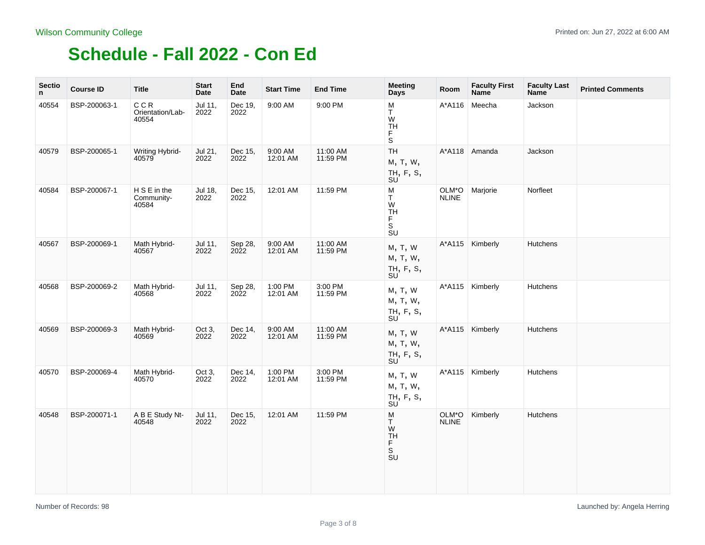| <b>Sectio</b><br>n. | <b>Course ID</b> | <b>Title</b>                        | <b>Start</b><br>Date | End<br><b>Date</b> | <b>Start Time</b>   | <b>End Time</b>      | <b>Meeting</b><br>Days                        | Room                  | <b>Faculty First</b><br><b>Name</b> | <b>Faculty Last</b><br><b>Name</b> | <b>Printed Comments</b> |
|---------------------|------------------|-------------------------------------|----------------------|--------------------|---------------------|----------------------|-----------------------------------------------|-----------------------|-------------------------------------|------------------------------------|-------------------------|
| 40554               | BSP-200063-1     | C C R<br>Orientation/Lab-<br>40554  | Jul 11,<br>2022      | Dec 19,<br>2022    | 9:00 AM             | 9:00 PM              | М<br>T.<br>W<br>TH<br>F<br>S                  | A*A116                | Meecha                              | Jackson                            |                         |
| 40579               | BSP-200065-1     | Writing Hybrid-<br>40579            | Jul 21,<br>2022      | Dec 15,<br>2022    | 9:00 AM<br>12:01 AM | 11:00 AM<br>11:59 PM | TH<br>M, T, W,<br>TH, F, S,<br>SU             |                       | A*A118 Amanda                       | Jackson                            |                         |
| 40584               | BSP-200067-1     | H S E in the<br>Community-<br>40584 | Jul 18,<br>2022      | Dec 15,<br>2022    | 12:01 AM            | 11:59 PM             | М<br>T.<br>W<br>TH<br>F<br>S<br>SU            | OLM*O<br><b>NLINE</b> | Marjorie                            | Norfleet                           |                         |
| 40567               | BSP-200069-1     | Math Hybrid-<br>40567               | Jul 11,<br>2022      | Sep 28,<br>2022    | 9:00 AM<br>12:01 AM | 11:00 AM<br>11:59 PM | M, T, W<br>M, T, W,<br>TH, F, S,<br><b>SU</b> |                       | A*A115 Kimberly                     | Hutchens                           |                         |
| 40568               | BSP-200069-2     | Math Hybrid-<br>40568               | Jul 11,<br>2022      | Sep 28,<br>2022    | 1:00 PM<br>12:01 AM | 3:00 PM<br>11:59 PM  | M, T, W<br>M, T, W,<br>TH, F, S,<br><b>SU</b> |                       | A*A115 Kimberly                     | <b>Hutchens</b>                    |                         |
| 40569               | BSP-200069-3     | Math Hybrid-<br>40569               | Oct 3,<br>2022       | Dec 14,<br>2022    | 9:00 AM<br>12:01 AM | 11:00 AM<br>11:59 PM | M, T, W<br>M, T, W,<br>TH, F, S,<br>SU        | $A^*A115$             | Kimberly                            | Hutchens                           |                         |
| 40570               | BSP-200069-4     | Math Hybrid-<br>40570               | Oct 3,<br>2022       | Dec 14,<br>2022    | 1:00 PM<br>12:01 AM | 3:00 PM<br>11:59 PM  | M, T, W<br>M, T, W,<br>TH, F, S,<br>SU        |                       | A*A115 Kimberly                     | <b>Hutchens</b>                    |                         |
| 40548               | BSP-200071-1     | A B E Study Nt-<br>40548            | Jul 11,<br>2022      | Dec 15,<br>2022    | 12:01 AM            | 11:59 PM             | M<br>Τ<br>W<br>TH<br>F<br>S<br><b>SU</b>      | OLM*O<br><b>NLINE</b> | Kimberly                            | <b>Hutchens</b>                    |                         |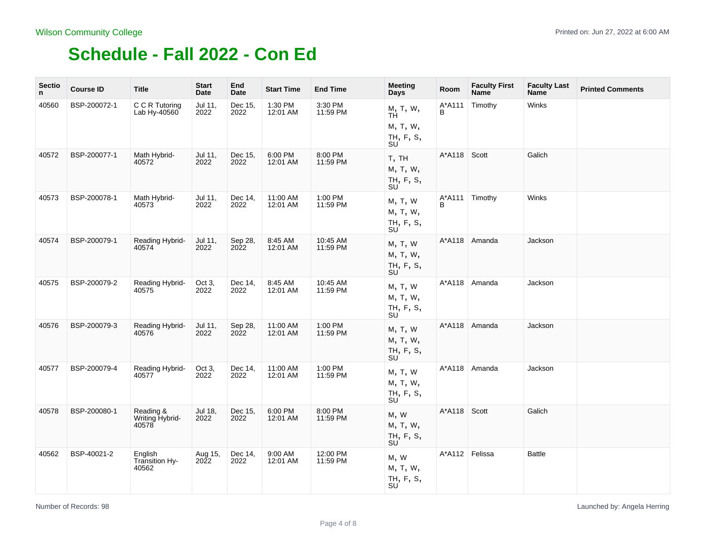| <b>Sectio</b><br>n | <b>Course ID</b> | <b>Title</b>                          | <b>Start</b><br>Date   | End<br><b>Date</b> | <b>Start Time</b>    | <b>End Time</b>      | <b>Meeting</b><br>Days                              | Room             | <b>Faculty First</b><br><b>Name</b> | <b>Faculty Last</b><br>Name | <b>Printed Comments</b> |
|--------------------|------------------|---------------------------------------|------------------------|--------------------|----------------------|----------------------|-----------------------------------------------------|------------------|-------------------------------------|-----------------------------|-------------------------|
| 40560              | BSP-200072-1     | C C R Tutoring<br>Lab Hy-40560        | Jul 11,<br>2022        | Dec 15.<br>2022    | 1:30 PM<br>12:01 AM  | 3:30 PM<br>11:59 PM  | M, T, W,<br>ΤĤ<br>M, T, W,<br>TH, F, S,<br>SU       | A*A111<br>В      | Timothy                             | Winks                       |                         |
| 40572              | BSP-200077-1     | Math Hybrid-<br>40572                 | Jul 11,<br>2022        | Dec 15,<br>2022    | 6:00 PM<br>12:01 AM  | 8:00 PM<br>11:59 PM  | T, TH<br>M, T, W,<br>TH, F, S,<br>SU                | A*A118           | Scott                               | Galich                      |                         |
| 40573              | BSP-200078-1     | Math Hybrid-<br>40573                 | Jul 11,<br>2022        | Dec 14,<br>2022    | 11:00 AM<br>12:01 AM | 1:00 PM<br>11:59 PM  | M, T, W<br>M, T, W,<br>TH, F, S,<br>SU              | В                | A*A111 Timothy                      | Winks                       |                         |
| 40574              | BSP-200079-1     | Reading Hybrid-<br>40574              | Jul 11,<br>2022        | Sep 28,<br>2022    | 8:45 AM<br>12:01 AM  | 10:45 AM<br>11:59 PM | M, T, W<br>M, T, W,<br>TH, F, S,<br>SU <sup>'</sup> |                  | A*A118 Amanda                       | Jackson                     |                         |
| 40575              | BSP-200079-2     | Reading Hybrid-<br>40575              | Oct 3,<br>2022         | Dec 14,<br>2022    | 8:45 AM<br>12:01 AM  | 10:45 AM<br>11:59 PM | M, T, W<br>M, T, W,<br>TH, F, S,<br>SU              | $A^*A118$        | Amanda                              | Jackson                     |                         |
| 40576              | BSP-200079-3     | Reading Hybrid-<br>40576              | Jul 11,<br>2022        | Sep 28,<br>2022    | 11:00 AM<br>12:01 AM | 1:00 PM<br>11:59 PM  | M, T, W<br>M, T, W,<br>TH, F, S,<br>SU              | $A^*A118$        | Amanda                              | Jackson                     |                         |
| 40577              | BSP-200079-4     | Reading Hybrid-<br>40577              | Oct 3,<br>2022         | Dec 14,<br>2022    | 11:00 AM<br>12:01 AM | 1:00 PM<br>11:59 PM  | M, T, W<br>M, T, W,<br>TH, F, S,<br>SU              | A*A118           | Amanda                              | Jackson                     |                         |
| 40578              | BSP-200080-1     | Reading &<br>Writing Hybrid-<br>40578 | Jul 18,<br>2022        | Dec 15,<br>2022    | 6:00 PM<br>12:01 AM  | 8:00 PM<br>11:59 PM  | M, W<br>M, T, W,<br>TH, F, S,<br>SU                 | $A^*A118$        | Scott                               | Galich                      |                         |
| 40562              | BSP-40021-2      | English<br>Transition Hy-<br>40562    | Aug 15,<br><b>2022</b> | Dec 14,<br>2022    | 9:00 AM<br>12:01 AM  | 12:00 PM<br>11:59 PM | M, W<br>M, T, W,<br>TH, F, S,<br>SU                 | A*A112   Felissa |                                     | <b>Battle</b>               |                         |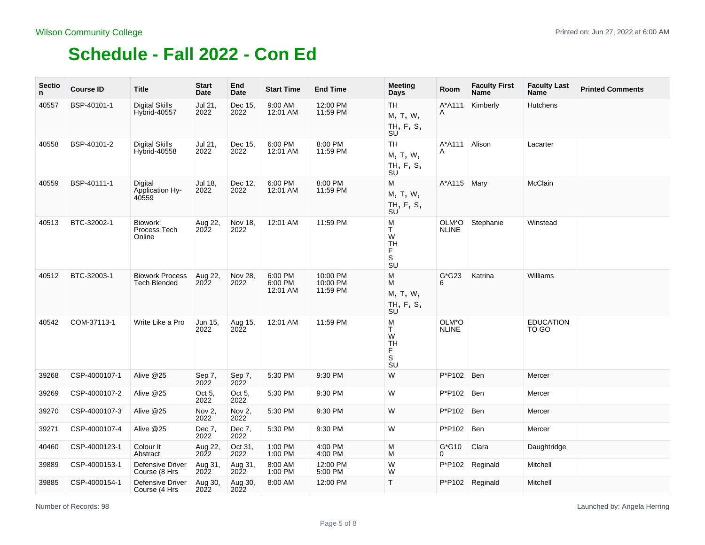| <b>Sectio</b><br>n. | <b>Course ID</b> | <b>Title</b>                                  | <b>Start</b><br>Date   | End<br>Date     | <b>Start Time</b>              | <b>End Time</b>                  | <b>Meeting</b><br>Days                                                   | Room                  | <b>Faculty First</b><br><b>Name</b> | <b>Faculty Last</b><br><b>Name</b> | <b>Printed Comments</b> |
|---------------------|------------------|-----------------------------------------------|------------------------|-----------------|--------------------------------|----------------------------------|--------------------------------------------------------------------------|-----------------------|-------------------------------------|------------------------------------|-------------------------|
| 40557               | BSP-40101-1      | <b>Digital Skills</b><br><b>Hybrid-40557</b>  | Jul 21,<br>2022        | Dec 15,<br>2022 | 9:00 AM<br>12:01 AM            | 12:00 PM<br>11:59 PM             | <b>TH</b><br>M, T, W,<br>TH, F, S,<br>SU                                 | A*A111<br>A           | Kimberly                            | <b>Hutchens</b>                    |                         |
| 40558               | BSP-40101-2      | <b>Digital Skills</b><br>Hybrid-40558         | Jul 21,<br>2022        | Dec 15,<br>2022 | 6:00 PM<br>12:01 AM            | 8:00 PM<br>11:59 PM              | <b>TH</b><br>M, T, W,<br>TH, F, S,<br>SU                                 | A*A111<br>A           | Alison                              | Lacarter                           |                         |
| 40559               | BSP-40111-1      | Digital<br>Application Hy-<br>40559           | Jul 18,<br>2022        | Dec 12,<br>2022 | 6:00 PM<br>12:01 AM            | 8:00 PM<br>11:59 PM              | М<br>M, T, W,<br>TH, F, S,<br>SU                                         | A*A115 Mary           |                                     | McClain                            |                         |
| 40513               | BTC-32002-1      | Biowork:<br>Process Tech<br>Online            | Aug 22,<br>2022        | Nov 18,<br>2022 | 12:01 AM                       | 11:59 PM                         | М<br>T.<br>W<br><b>TH</b><br>F<br>$\mathbb S$<br>SU                      | OLM*O<br><b>NLINE</b> | Stephanie                           | Winstead                           |                         |
| 40512               | BTC-32003-1      | <b>Biowork Process</b><br><b>Tech Blended</b> | Aug 22,<br><b>2022</b> | Nov 28,<br>2022 | 6:00 PM<br>6:00 PM<br>12:01 AM | 10:00 PM<br>10:00 PM<br>11:59 PM | М<br>М<br>M, T, W,<br>TH, F, S,<br>SU                                    | $G*G23$<br>6          | Katrina                             | Williams                           |                         |
| 40542               | COM-37113-1      | Write Like a Pro                              | Jun 15,<br>2022        | Aug 15,<br>2022 | 12:01 AM                       | 11:59 PM                         | М<br>T.<br>W<br><b>TH</b><br>F<br>$\mathbb S$<br>$\overline{\mathsf{s}}$ | OLM*O<br><b>NLINE</b> |                                     | <b>EDUCATION</b><br>TO GO          |                         |
| 39268               | CSP-4000107-1    | Alive @25                                     | Sep 7,<br>2022         | Sep 7,<br>2022  | 5:30 PM                        | 9:30 PM                          | W                                                                        | P*P102                | Ben                                 | Mercer                             |                         |
| 39269               | CSP-4000107-2    | Alive @25                                     | Oct 5,<br>2022         | Oct 5,<br>2022  | 5:30 PM                        | 9:30 PM                          | W                                                                        | P*P102                | Ben                                 | Mercer                             |                         |
| 39270               | CSP-4000107-3    | Alive @25                                     | Nov 2,<br>2022         | Nov 2.<br>2022  | 5:30 PM                        | 9:30 PM                          | W                                                                        | P*P102                | <b>Ben</b>                          | Mercer                             |                         |
| 39271               | CSP-4000107-4    | Alive @25                                     | Dec 7,<br>2022         | Dec 7,<br>2022  | 5:30 PM                        | 9:30 PM                          | W                                                                        | P*P102                | Ben                                 | Mercer                             |                         |
| 40460               | CSP-4000123-1    | Colour It<br>Abstract                         | Aug 22,<br>2022        | Oct 31,<br>2022 | 1:00 PM<br>1:00 PM             | 4:00 PM<br>4:00 PM               | м<br>М                                                                   | $G*G10$<br>0          | Clara                               | Daughtridge                        |                         |
| 39889               | CSP-4000153-1    | Defensive Driver<br>Course (8 Hrs             | Aug 31,<br>2022        | Aug 31,<br>2022 | 8:00 AM<br>1:00 PM             | 12:00 PM<br>5:00 PM              | W<br>W                                                                   |                       | P*P102   Reginald                   | Mitchell                           |                         |
| 39885               | CSP-4000154-1    | <b>Defensive Driver</b><br>Course (4 Hrs      | Aug 30,<br>2022        | Aug 30,<br>2022 | 8:00 AM                        | 12:00 PM                         | $\mathsf{T}$                                                             |                       | P*P102 Reginald                     | Mitchell                           |                         |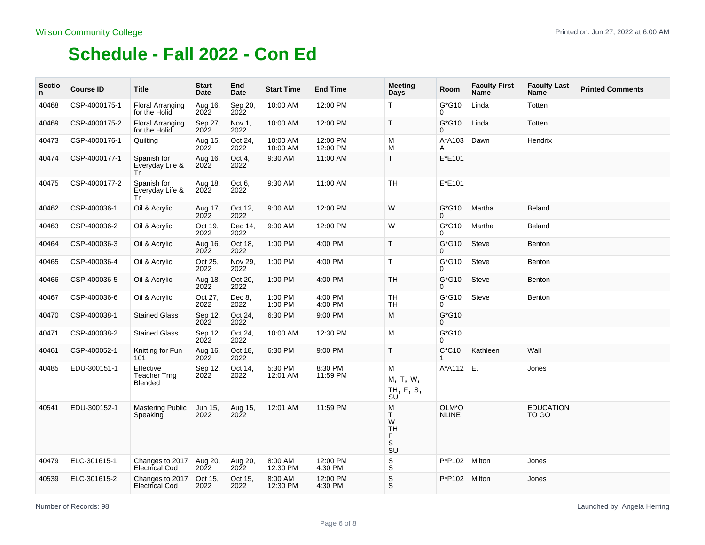| <b>Sectio</b><br>n | <b>Course ID</b> | <b>Title</b>                                       | <b>Start</b><br>Date    | End<br><b>Date</b> | <b>Start Time</b>    | <b>End Time</b>      | <b>Meeting</b><br>Days                                         | Room                  | <b>Faculty First</b><br>Name | <b>Faculty Last</b><br><b>Name</b> | <b>Printed Comments</b> |
|--------------------|------------------|----------------------------------------------------|-------------------------|--------------------|----------------------|----------------------|----------------------------------------------------------------|-----------------------|------------------------------|------------------------------------|-------------------------|
| 40468              | CSP-4000175-1    | <b>Floral Arranging</b><br>for the Holid           | Aug 16,<br>2022         | Sep 20,<br>2022    | 10:00 AM             | 12:00 PM             | T.                                                             | G*G10<br>0            | Linda                        | Totten                             |                         |
| 40469              | CSP-4000175-2    | <b>Floral Arranging</b><br>for the Holid           | Sep 27,<br>2022         | Nov 1,<br>2022     | 10:00 AM             | 12:00 PM             | T                                                              | G*G10<br>0            | Linda                        | Totten                             |                         |
| 40473              | CSP-4000176-1    | Quilting                                           | Aug 15,<br>$20\bar{2}2$ | Oct 24,<br>2022    | 10:00 AM<br>10:00 AM | 12:00 PM<br>12:00 PM | М<br>М                                                         | A*A103<br>A           | Dawn                         | Hendrix                            |                         |
| 40474              | CSP-4000177-1    | Spanish for<br>Everyday Life &<br>Tr               | Aug 16,<br>2022         | Oct 4,<br>2022     | 9:30 AM              | 11:00 AM             | T.                                                             | $E*E101$              |                              |                                    |                         |
| 40475              | CSP-4000177-2    | Spanish for<br>Everyday Life &<br>Tr               | Aug 18,<br>2022         | Oct 6,<br>2022     | 9:30 AM              | 11:00 AM             | <b>TH</b>                                                      | E*E101                |                              |                                    |                         |
| 40462              | CSP-400036-1     | Oil & Acrylic                                      | Aug 17,<br>2022         | Oct 12.<br>2022    | 9:00 AM              | 12:00 PM             | W                                                              | $G*G10$<br>0          | Martha                       | <b>Beland</b>                      |                         |
| 40463              | CSP-400036-2     | Oil & Acrylic                                      | Oct 19.<br>2022         | Dec 14.<br>2022    | 9:00 AM              | 12:00 PM             | W                                                              | G*G10<br>0            | Martha                       | Beland                             |                         |
| 40464              | CSP-400036-3     | Oil & Acrylic                                      | Aug 16,<br>2022         | Oct 18,<br>2022    | 1:00 PM              | 4:00 PM              | T                                                              | G*G10<br>0            | <b>Steve</b>                 | Benton                             |                         |
| 40465              | CSP-400036-4     | Oil & Acrylic                                      | Oct 25,<br>2022         | Nov 29,<br>2022    | 1:00 PM              | 4:00 PM              | T                                                              | G*G10<br>0            | <b>Steve</b>                 | Benton                             |                         |
| 40466              | CSP-400036-5     | Oil & Acrylic                                      | Aug 18,<br>2022         | Oct 20,<br>2022    | 1:00 PM              | 4:00 PM              | <b>TH</b>                                                      | $G*G10$<br>$\Omega$   | <b>Steve</b>                 | Benton                             |                         |
| 40467              | CSP-400036-6     | Oil & Acrylic                                      | Oct 27,<br>2022         | Dec 8,<br>2022     | 1:00 PM<br>1:00 PM   | 4:00 PM<br>4:00 PM   | <b>TH</b><br><b>TH</b>                                         | $G^*G10$<br>0         | Steve                        | Benton                             |                         |
| 40470              | CSP-400038-1     | <b>Stained Glass</b>                               | Sep 12,<br>2022         | Oct 24.<br>2022    | 6:30 PM              | 9:00 PM              | M                                                              | G*G10<br>0            |                              |                                    |                         |
| 40471              | CSP-400038-2     | <b>Stained Glass</b>                               | Sep 12,<br>2022         | Oct 24.<br>2022    | 10:00 AM             | 12:30 PM             | М                                                              | $G*G10$<br>0          |                              |                                    |                         |
| 40461              | CSP-400052-1     | Knitting for Fun<br>101                            | Aug 16,<br>2022         | Oct 18.<br>2022    | 6:30 PM              | 9:00 PM              | T.                                                             | $C*C10$               | Kathleen                     | Wall                               |                         |
| 40485              | EDU-300151-1     | Effective<br><b>Teacher Trng</b><br>Blended        | Sep 12,<br>2022         | Oct 14,<br>2022    | 5:30 PM<br>12:01 AM  | 8:30 PM<br>11:59 PM  | м<br>M, T, W,<br>TH, F, S,<br>SU                               | A*A112 E.             |                              | Jones                              |                         |
| 40541              | EDU-300152-1     | <b>Mastering Public</b><br>Speaking                | Jun 15,<br>2022         | Aug 15,<br>2022    | 12:01 AM             | 11:59 PM             | м<br>T.<br>W<br><b>TH</b><br>F<br>S<br>$\overline{\mathbf{s}}$ | OLM*O<br><b>NLINE</b> |                              | <b>EDUCATION</b><br>TO GO          |                         |
| 40479              | ELC-301615-1     | Changes to $2017$ Aug 20,<br><b>Electrical Cod</b> | <b>2022</b>             | Aug 20,<br>2022    | 8:00 AM<br>12:30 PM  | 12:00 PM<br>4:30 PM  | $\mathsf S$<br>$\overline{\mathbf{s}}$                         | P*P102                | Milton                       | Jones                              |                         |
| 40539              | ELC-301615-2     | Changes to 2017<br><b>Electrical Cod</b>           | Oct 15,<br>2022         | Oct 15,<br>2022    | 8:00 AM<br>12:30 PM  | 12:00 PM<br>4:30 PM  | $_{\rm S}^{\rm S}$                                             | P*P102                | Milton                       | Jones                              |                         |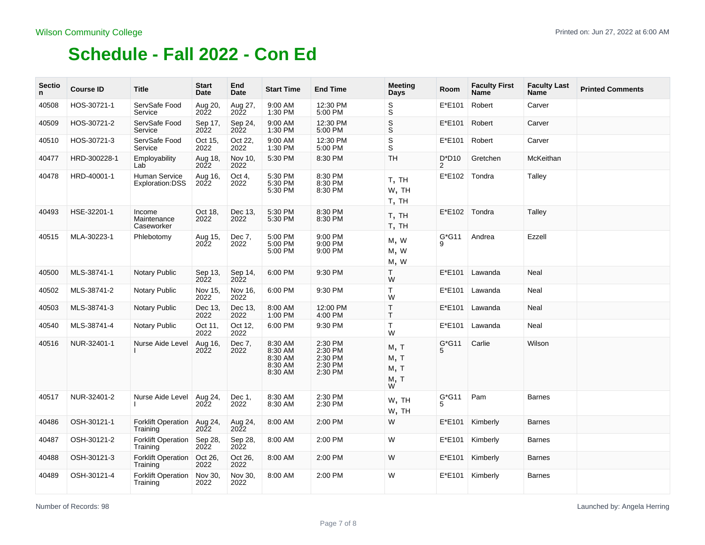| <b>Sectio</b><br>n | <b>Course ID</b> | <b>Title</b>                          | <b>Start</b><br>Date   | End<br><b>Date</b>     | <b>Start Time</b>                                   | <b>End Time</b>                                     | <b>Meeting</b><br>Days            | Room          | <b>Faculty First</b><br><b>Name</b> | <b>Faculty Last</b><br>Name | <b>Printed Comments</b> |
|--------------------|------------------|---------------------------------------|------------------------|------------------------|-----------------------------------------------------|-----------------------------------------------------|-----------------------------------|---------------|-------------------------------------|-----------------------------|-------------------------|
| 40508              | HOS-30721-1      | ServSafe Food<br>Service              | Aug 20,<br><b>2022</b> | Aug 27,<br><b>2022</b> | 9:00 AM<br>1:30 PM                                  | 12:30 PM<br>5:00 PM                                 | $_{\rm S}^{\rm S}$                | E*E101        | Robert                              | Carver                      |                         |
| 40509              | HOS-30721-2      | ServSafe Food<br>Service              | Sep 17,<br>2022        | Sep 24,<br>2022        | 9:00 AM<br>1:30 PM                                  | 12:30 PM<br>5:00 PM                                 | $\mathsf S$<br>S                  | E*E101        | Robert                              | Carver                      |                         |
| 40510              | HOS-30721-3      | ServSafe Food<br>Service              | Oct 15,<br>2022        | Oct 22,<br>2022        | 9:00 AM<br>1:30 PM                                  | 12:30 PM<br>5:00 PM                                 | $\mathsf S$<br>$\bar{s}$          | E*E101        | Robert                              | Carver                      |                         |
| 40477              | HRD-300228-1     | Employability<br>Lab                  | Aug 18,<br>2022        | Nov 10,<br>2022        | 5:30 PM                                             | 8:30 PM                                             | <b>TH</b>                         | $D^*D10$<br>2 | Gretchen                            | McKeithan                   |                         |
| 40478              | HRD-40001-1      | Human Service<br>Exploration:DSS      | Aug 16,<br>2022        | Oct 4,<br>2022         | 5:30 PM<br>5:30 PM<br>5:30 PM                       | 8:30 PM<br>8:30 PM<br>8:30 PM                       | T, TH<br>W, TH<br>T, TH           | E*E102        | Tondra                              | Talley                      |                         |
| 40493              | HSE-32201-1      | Income<br>Maintenance<br>Caseworker   | Oct 18,<br>2022        | Dec 13,<br>2022        | 5:30 PM<br>5:30 PM                                  | 8:30 PM<br>8:30 PM                                  | T, TH<br>T, TH                    | $E*E102$      | Tondra                              | Talley                      |                         |
| 40515              | MLA-30223-1      | Phlebotomy                            | Aug 15,<br>2022        | Dec 7,<br>2022         | 5:00 PM<br>5:00 PM<br>5:00 PM                       | 9:00 PM<br>9:00 PM<br>9:00 PM                       | M, W<br>M, W<br>M, W              | $G*G11$<br>9  | Andrea                              | Ezzell                      |                         |
| 40500              | MLS-38741-1      | <b>Notary Public</b>                  | Sep 13,<br>2022        | Sep 14,<br>2022        | 6:00 PM                                             | 9:30 PM                                             | T.<br>W                           | E*E101        | Lawanda                             | <b>Neal</b>                 |                         |
| 40502              | MLS-38741-2      | <b>Notary Public</b>                  | Nov 15,<br>2022        | Nov 16.<br>2022        | 6:00 PM                                             | 9:30 PM                                             | $\mathsf{T}$<br>W                 | E*E101        | Lawanda                             | <b>Neal</b>                 |                         |
| 40503              | MLS-38741-3      | <b>Notary Public</b>                  | Dec 13.<br>2022        | Dec 13.<br>2022        | 8:00 AM<br>1:00 PM                                  | 12:00 PM<br>4:00 PM                                 | $\top$<br>T.                      | E*E101        | Lawanda                             | Neal                        |                         |
| 40540              | MLS-38741-4      | Notary Public                         | Oct 11,<br>2022        | Oct 12,<br>2022        | 6:00 PM                                             | 9:30 PM                                             | $\mathsf{T}$<br>W                 | E*E101        | Lawanda                             | Neal                        |                         |
| 40516              | NUR-32401-1      | Nurse Aide Level                      | Aug 16,<br>2022        | Dec 7,<br>2022         | 8:30 AM<br>8:30 AM<br>8:30 AM<br>8:30 AM<br>8:30 AM | 2:30 PM<br>2:30 PM<br>2:30 PM<br>2:30 PM<br>2:30 PM | м, т<br>M, T<br>M, T<br>м, т<br>w | $G*G11$<br>5  | Carlie                              | Wilson                      |                         |
| 40517              | NUR-32401-2      | Nurse Aide Level                      | Aug 24,<br>2022        | Dec 1,<br>2022         | 8:30 AM<br>8:30 AM                                  | 2:30 PM<br>2:30 PM                                  | W, TH<br>W, TH                    | $G*G11$<br>5  | Pam                                 | <b>Barnes</b>               |                         |
| 40486              | OSH-30121-1      | <b>Forklift Operation</b><br>Training | Aug 24,<br>2022        | Aug 24,<br>2022        | 8:00 AM                                             | 2:00 PM                                             | W                                 | E*E101        | Kimberly                            | <b>Barnes</b>               |                         |
| 40487              | OSH-30121-2      | <b>Forklift Operation</b><br>Training | Sep 28,<br>2022        | Sep 28,<br>2022        | 8:00 AM                                             | 2:00 PM                                             | W                                 | E*E101        | Kimberly                            | <b>Barnes</b>               |                         |
| 40488              | OSH-30121-3      | <b>Forklift Operation</b><br>Training | Oct 26,<br>2022        | Oct 26,<br>2022        | 8:00 AM                                             | 2:00 PM                                             | W                                 | E*E101        | Kimberly                            | <b>Barnes</b>               |                         |
| 40489              | OSH-30121-4      | <b>Forklift Operation</b><br>Training | Nov 30,<br>2022        | Nov 30,<br>2022        | 8:00 AM                                             | 2:00 PM                                             | W                                 | E*E101        | Kimberly                            | <b>Barnes</b>               |                         |